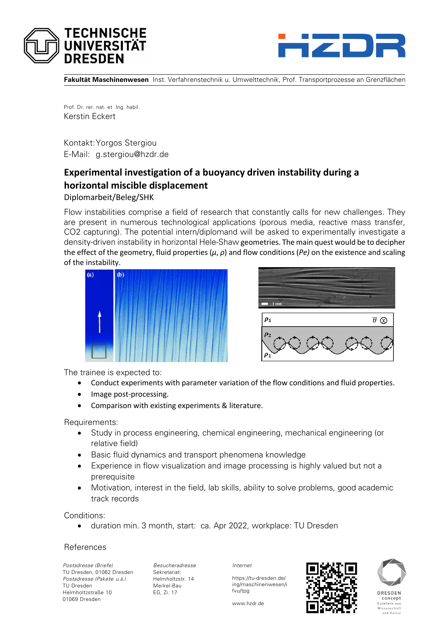



**Fakultät Maschinenwesen** Inst. Verfahrenstechnik u. Umwelttechnik, Prof. Transportprozesse an Grenzflächen

Prof. Dr. rer. nat. et Ing. habil. Kerstin Eckert

Kontakt:Yorgos Stergiou E-Mail: g.stergiou@hzdr.de

## **Experimental investigation of a buoyancy driven instability during a horizontal miscible displacement**

Diplomarbeit/Beleg/SHK

Flow instabilities comprise a field of research that constantly calls for new challenges. They are present in numerous technological applications (porous media, reactive mass transfer, CO2 capturing). The potential intern/diplomand will be asked to experimentally investigate a density-driven instability in horizontal Hele-Shaw geometries. The main quest would be to decipher the effect of the geometry, fluid properties (*μ*, *ρ*) and flow conditions (*Pe)* on the existence and scaling of the instability.





The trainee is expected to:

- Conduct experiments with parameter variation of the flow conditions and fluid properties.
- Image post-processing.
- Comparison with existing experiments & literature.

Requirements:

- Study in process engineering, chemical engineering, mechanical engineering (or relative field)
- Basic fluid dynamics and transport phenomena knowledge
- Experience in flow visualization and image processing is highly valued but not a prerequisite
- Motivation, interest in the field, lab skills, ability to solve problems, good academic track records

Conditions:

duration min. 3 month, start: ca. Apr 2022, workplace: TU Dresden

## **References**

*Postadresse (Briefe)* TU Dresden, 01062 Dresden *Postadresse (Pakete u.ä.)* TU Dresden Helmholtzstraße 10 01069 Dresden

*Besucheradresse* Sekretariat: Helmholtzstr. 14 Merkel-Bau EG, Zi. 17

*Internet*

fvu/tpg

https://tu-dresden.de/ ing/maschinenwesen/i





DRESDEN concept Exzellenz aus<br>Wissenschaft und Kultu

www.hzdr.de